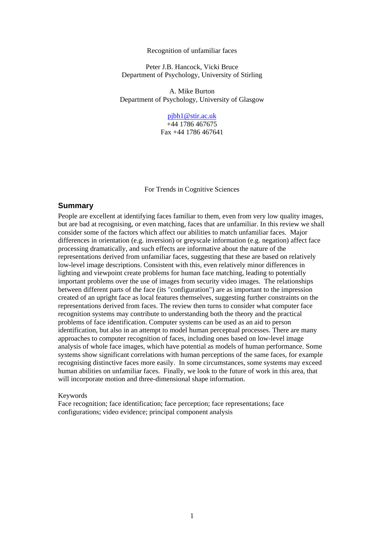#### Recognition of unfamiliar faces

Peter J.B. Hancock, Vicki Bruce Department of Psychology, University of Stirling

A. Mike Burton Department of Psychology, University of Glasgow

> [pjbh1@stir.ac.uk](mailto:pjbh1@stir.ac.uk) +44 1786 467675 Fax +44 1786 467641

For Trends in Cognitive Sciences

## **Summary**

People are excellent at identifying faces familiar to them, even from very low quality images, but are bad at recognising, or even matching, faces that are unfamiliar. In this review we shall consider some of the factors which affect our abilities to match unfamiliar faces. Major differences in orientation (e.g. inversion) or greyscale information (e.g. negation) affect face processing dramatically, and such effects are informative about the nature of the representations derived from unfamiliar faces, suggesting that these are based on relatively low-level image descriptions. Consistent with this, even relatively minor differences in lighting and viewpoint create problems for human face matching, leading to potentially important problems over the use of images from security video images. The relationships between different parts of the face (its "configuration") are as important to the impression created of an upright face as local features themselves, suggesting further constraints on the representations derived from faces. The review then turns to consider what computer face recognition systems may contribute to understanding both the theory and the practical problems of face identification. Computer systems can be used as an aid to person identification, but also in an attempt to model human perceptual processes. There are many approaches to computer recognition of faces, including ones based on low-level image analysis of whole face images, which have potential as models of human performance. Some systems show significant correlations with human perceptions of the same faces, for example recognising distinctive faces more easily. In some circumstances, some systems may exceed human abilities on unfamiliar faces. Finally, we look to the future of work in this area, that will incorporate motion and three-dimensional shape information.

## Keywords

Face recognition; face identification; face perception; face representations; face configurations; video evidence; principal component analysis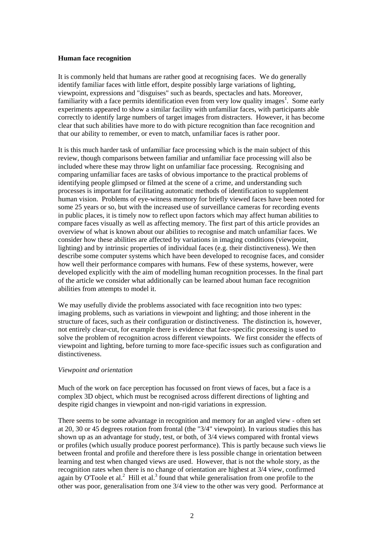## **Human face recognition**

It is commonly held that humans are rather good at recognising faces. We do generally identify familiar faces with little effort, despite possibly large variations of lighting, viewpoint, expressions and "disguises" such as beards, spectacles and hats. Moreover, familiarity with a face permits identification even from very low quality images<sup>1</sup>. Some early experiments appeared to show a similar facility with unfamiliar faces, with participants able correctly to identify large numbers of target images from distracters. However, it has become clear that such abilities have more to do with picture recognition than face recognition and that our ability to remember, or even to match, unfamiliar faces is rather poor.

It is this much harder task of unfamiliar face processing which is the main subject of this review, though comparisons between familiar and unfamiliar face processing will also be included where these may throw light on unfamiliar face processing. Recognising and comparing unfamiliar faces are tasks of obvious importance to the practical problems of identifying people glimpsed or filmed at the scene of a crime, and understanding such processes is important for facilitating automatic methods of identification to supplement human vision. Problems of eye-witness memory for briefly viewed faces have been noted for some 25 years or so, but with the increased use of surveillance cameras for recording events in public places, it is timely now to reflect upon factors which may affect human abilities to compare faces visually as well as affecting memory. The first part of this article provides an overview of what is known about our abilities to recognise and match unfamiliar faces. We consider how these abilities are affected by variations in imaging conditions (viewpoint, lighting) and by intrinsic properties of individual faces (e.g. their distinctiveness). We then describe some computer systems which have been developed to recognise faces, and consider how well their performance compares with humans. Few of these systems, however, were developed explicitly with the aim of modelling human recognition processes. In the final part of the article we consider what additionally can be learned about human face recognition abilities from attempts to model it.

We may usefully divide the problems associated with face recognition into two types: imaging problems, such as variations in viewpoint and lighting; and those inherent in the structure of faces, such as their configuration or distinctiveness. The distinction is, however, not entirely clear-cut, for example there is evidence that face-specific processing is used to solve the problem of recognition across different viewpoints. We first consider the effects of viewpoint and lighting, before turning to more face-specific issues such as configuration and distinctiveness.

## *Viewpoint and orientation*

Much of the work on face perception has focussed on front views of faces, but a face is a complex 3D object, which must be recognised across different directions of lighting and despite rigid changes in viewpoint and non-rigid variations in expression.

There seems to be some advantage in recognition and memory for an angled view - often set at 20, 30 or 45 degrees rotation from frontal (the "3/4" viewpoint). In various studies this has shown up as an advantage for study, test, or both, of 3/4 views compared with frontal views or profiles (which usually produce poorest performance). This is partly because such views lie between frontal and profile and therefore there is less possible change in orientation between learning and test when changed views are used. However, that is not the whole story, as the recognition rates when there is no change of orientation are highest at 3/4 view, confirmed again by O'Toole et al.<sup>2</sup> Hill et al.<sup>3</sup> found that while generalisation from one profile to the other was poor, generalisation from one 3/4 view to the other was very good. Performance at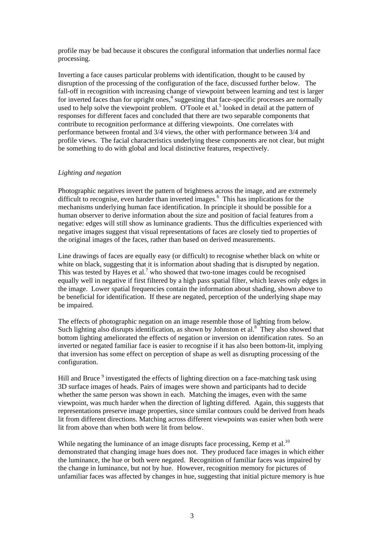profile may be bad because it obscures the configural information that underlies normal face processing.

Inverting a face causes particular problems with identification, thought to be caused by disruption of the processing of the configuration of the face, discussed further below. The fall-off in recognition with increasing change of viewpoint between learning and test is larger for inverted faces than for upright ones,<sup>4</sup> suggesting that face-specific processes are normally used to help solve the viewpoint problem. O'Toole et al.<sup>5</sup> looked in detail at the pattern of responses for different faces and concluded that there are two separable components that contribute to recognition performance at differing viewpoints. One correlates with performance between frontal and 3/4 views, the other with performance between 3/4 and profile views. The facial characteristics underlying these components are not clear, but might be something to do with global and local distinctive features, respectively.

## *Lighting and negation*

Photographic negatives invert the pattern of brightness across the image, and are extremely difficult to recognise, even harder than inverted images.<sup>6</sup> This has implications for the mechanisms underlying human face identification. In principle it should be possible for a human observer to derive information about the size and position of facial features from a negative: edges will still show as luminance gradients. Thus the difficulties experienced with negative images suggest that visual representations of faces are closely tied to properties of the original images of the faces, rather than based on derived measurements.

Line drawings of faces are equally easy (or difficult) to recognise whether black on white or white on black, suggesting that it is information about shading that is disrupted by negation. This was tested by Hayes et al.<sup>7</sup> who showed that two-tone images could be recognised equally well in negative if first filtered by a high pass spatial filter, which leaves only edges in the image. Lower spatial frequencies contain the information about shading, shown above to be beneficial for identification. If these are negated, perception of the underlying shape may be impaired.

The effects of photographic negation on an image resemble those of lighting from below. Such lighting also disrupts identification, as shown by Johnston et al. $8^{\circ}$  They also showed that bottom lighting ameliorated the effects of negation or inversion on identification rates. So an inverted or negated familiar face is easier to recognise if it has also been bottom-lit, implying that inversion has some effect on perception of shape as well as disrupting processing of the configuration.

Hill and Bruce<sup>9</sup> investigated the effects of lighting direction on a face-matching task using 3D surface images of heads. Pairs of images were shown and participants had to decide whether the same person was shown in each. Matching the images, even with the same viewpoint, was much harder when the direction of lighting differed. Again, this suggests that representations preserve image properties, since similar contours could be derived from heads lit from different directions. Matching across different viewpoints was easier when both were lit from above than when both were lit from below.

While negating the luminance of an image disrupts face processing, Kemp et al.<sup>10</sup> demonstrated that changing image hues does not. They produced face images in which either the luminance, the hue or both were negated. Recognition of familiar faces was impaired by the change in luminance, but not by hue. However, recognition memory for pictures of unfamiliar faces was affected by changes in hue, suggesting that initial picture memory is hue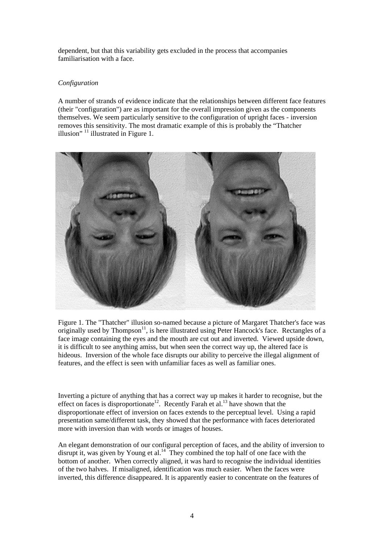dependent, but that this variability gets excluded in the process that accompanies familiarisation with a face.

# *Configuration*

A number of strands of evidence indicate that the relationships between different face features (their "configuration") are as important for the overall impression given as the components themselves. We seem particularly sensitive to the configuration of upright faces - inversion removes this sensitivity. The most dramatic example of this is probably the "Thatcher illusion"  $11$  illustrated in Figure 1.



Figure 1. The "Thatcher" illusion so-named because a picture of Margaret Thatcher's face was originally used by Thompson<sup>11</sup>, is here illustrated using Peter Hancock's face. Rectangles of a face image containing the eyes and the mouth are cut out and inverted. Viewed upside down, it is difficult to see anything amiss, but when seen the correct way up, the altered face is hideous. Inversion of the whole face disrupts our ability to perceive the illegal alignment of features, and the effect is seen with unfamiliar faces as well as familiar ones.

Inverting a picture of anything that has a correct way up makes it harder to recognise, but the effect on faces is disproportionate<sup>12</sup>. Recently Farah et al.<sup>13</sup> have shown that the disproportionate effect of inversion on faces extends to the perceptual level. Using a rapid presentation same/different task, they showed that the performance with faces deteriorated more with inversion than with words or images of houses.

An elegant demonstration of our configural perception of faces, and the ability of inversion to disrupt it, was given by Young et al.<sup>14</sup> They combined the top half of one face with the bottom of another. When correctly aligned, it was hard to recognise the individual identities of the two halves. If misaligned, identification was much easier. When the faces were inverted, this difference disappeared. It is apparently easier to concentrate on the features of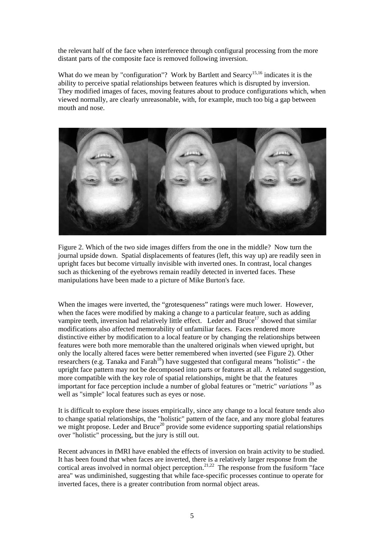the relevant half of the face when interference through configural processing from the more distant parts of the composite face is removed following inversion.

What do we mean by "configuration"? Work by Bartlett and Searcy<sup>15,16</sup> indicates it is the ability to perceive spatial relationships between features which is disrupted by inversion. They modified images of faces, moving features about to produce configurations which, when viewed normally, are clearly unreasonable, with, for example, much too big a gap between mouth and nose.



Figure 2. Which of the two side images differs from the one in the middle? Now turn the journal upside down. Spatial displacements of features (left, this way up) are readily seen in upright faces but become virtually invisible with inverted ones. In contrast, local changes such as thickening of the eyebrows remain readily detected in inverted faces. These manipulations have been made to a picture of Mike Burton's face.

When the images were inverted, the "grotesqueness" ratings were much lower. However, when the faces were modified by making a change to a particular feature, such as adding vampire teeth, inversion had relatively little effect. Leder and Bruce<sup>17</sup> showed that similar modifications also affected memorability of unfamiliar faces. Faces rendered more distinctive either by modification to a local feature or by changing the relationships between features were both more memorable than the unaltered originals when viewed upright, but only the locally altered faces were better remembered when inverted (see Figure 2). Other researchers (e.g. Tanaka and Farah<sup>18</sup>) have suggested that configural means "holistic" - the upright face pattern may not be decomposed into parts or features at all. A related suggestion, more compatible with the key role of spatial relationships, might be that the features important for face perception include a number of global features or "metric" *variations* 19 as well as "simple" local features such as eyes or nose.

It is difficult to explore these issues empirically, since any change to a local feature tends also to change spatial relationships, the "holistic" pattern of the face, and any more global features we might propose. Leder and Bruce<sup>20</sup> provide some evidence supporting spatial relationships over "holistic" processing, but the jury is still out.

Recent advances in fMRI have enabled the effects of inversion on brain activity to be studied. It has been found that when faces are inverted, there is a relatively larger response from the cortical areas involved in normal object perception.<sup>21,22</sup> The response from the fusiform "face area" was undiminished, suggesting that while face-specific processes continue to operate for inverted faces, there is a greater contribution from normal object areas.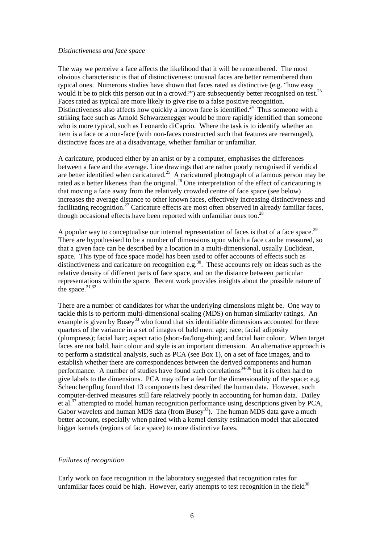#### *Distinctiveness and face space*

The way we perceive a face affects the likelihood that it will be remembered. The most obvious characteristic is that of distinctiveness: unusual faces are better remembered than typical ones. Numerous studies have shown that faces rated as distinctive (e.g. "how easy would it be to pick this person out in a crowd?") are subsequently better recognised on test.<sup>23</sup> Faces rated as typical are more likely to give rise to a false positive recognition. Distinctiveness also affects how quickly a known face is identified.<sup>24</sup> Thus someone with a striking face such as Arnold Schwarzenegger would be more rapidly identified than someone who is more typical, such as Leonardo diCaprio. Where the task is to identify whether an item is a face or a non-face (with non-faces constructed such that features are rearranged), distinctive faces are at a disadvantage, whether familiar or unfamiliar.

A caricature, produced either by an artist or by a computer, emphasises the differences between a face and the average. Line drawings that are rather poorly recognised if veridical are better identified when caricatured.<sup>25</sup> A caricatured photograph of a famous person may be rated as a better likeness than the original.<sup>26</sup> One interpretation of the effect of caricaturing is that moving a face away from the relatively crowded centre of face space (see below) increases the average distance to other known faces, effectively increasing distinctiveness and facilitating recognition.<sup>27</sup> Caricature effects are most often observed in already familiar faces, though occasional effects have been reported with unfamiliar ones too.<sup>28</sup>

A popular way to conceptualise our internal representation of faces is that of a face space.<sup>29</sup> There are hypothesised to be a number of dimensions upon which a face can be measured, so that a given face can be described by a location in a multi-dimensional, usually Euclidean, space. This type of face space model has been used to offer accounts of effects such as distinctiveness and caricature on recognition e.g.<sup>30</sup>. These accounts rely on ideas such as the relative density of different parts of face space, and on the distance between particular representations within the space. Recent work provides insights about the possible nature of the space. $31,32$ 

There are a number of candidates for what the underlying dimensions might be. One way to tackle this is to perform multi-dimensional scaling (MDS) on human similarity ratings. An example is given by Busey<sup>33</sup> who found that six identifiable dimensions accounted for three quarters of the variance in a set of images of bald men: age; race; facial adiposity (plumpness); facial hair; aspect ratio (short-fat/long-thin); and facial hair colour. When target faces are not bald, hair colour and style is an important dimension. An alternative approach is to perform a statistical analysis, such as PCA (see Box 1), on a set of face images, and to establish whether there are correspondences between the derived components and human performance. A number of studies have found such correlations<sup>34-36</sup> but it is often hard to give labels to the dimensions. PCA may offer a feel for the dimensionality of the space: e.g. Scheuchenpflug found that 13 components best described the human data. However, such computer-derived measures still fare relatively poorly in accounting for human data. Dailey et al.<sup>37</sup> attempted to model human recognition performance using descriptions given by PCA, Gabor wavelets and human MDS data (from Busey<sup>33</sup>). The human MDS data gave a much better account, especially when paired with a kernel density estimation model that allocated bigger kernels (regions of face space) to more distinctive faces.

## *Failures of recognition*

Early work on face recognition in the laboratory suggested that recognition rates for unfamiliar faces could be high. However, early attempts to test recognition in the field $38$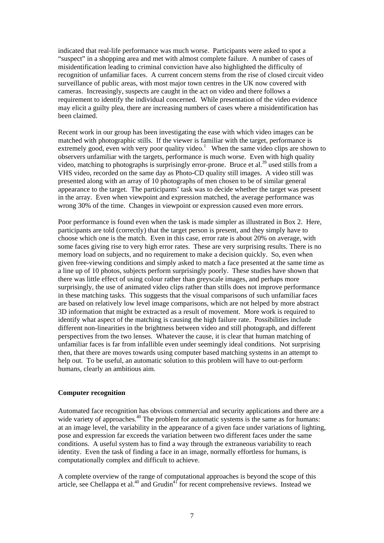indicated that real-life performance was much worse. Participants were asked to spot a "suspect" in a shopping area and met with almost complete failure. A number of cases of misidentification leading to criminal conviction have also highlighted the difficulty of recognition of unfamiliar faces. A current concern stems from the rise of closed circuit video surveillance of public areas, with most major town centres in the UK now covered with cameras. Increasingly, suspects are caught in the act on video and there follows a requirement to identify the individual concerned. While presentation of the video evidence may elicit a guilty plea, there are increasing numbers of cases where a misidentification has been claimed.

Recent work in our group has been investigating the ease with which video images can be matched with photographic stills. If the viewer is familiar with the target, performance is extremely good, even with very poor quality video.<sup>1</sup> When the same video clips are shown to observers unfamiliar with the targets, performance is much worse. Even with high quality video, matching to photographs is surprisingly error-prone. Bruce et al.<sup>39</sup> used stills from a VHS video, recorded on the same day as Photo-CD quality still images. A video still was presented along with an array of 10 photographs of men chosen to be of similar general appearance to the target. The participants' task was to decide whether the target was present in the array. Even when viewpoint and expression matched, the average performance was wrong 30% of the time. Changes in viewpoint or expression caused even more errors.

Poor performance is found even when the task is made simpler as illustrated in Box 2. Here, participants are told (correctly) that the target person is present, and they simply have to choose which one is the match. Even in this case, error rate is about 20% on average, with some faces giving rise to very high error rates. These are very surprising results. There is no memory load on subjects, and no requirement to make a decision quickly. So, even when given free-viewing conditions and simply asked to match a face presented at the same time as a line up of 10 photos, subjects perform surprisingly poorly. These studies have shown that there was little effect of using colour rather than greyscale images, and perhaps more surprisingly, the use of animated video clips rather than stills does not improve performance in these matching tasks. This suggests that the visual comparisons of such unfamiliar faces are based on relatively low level image comparisons, which are not helped by more abstract 3D information that might be extracted as a result of movement. More work is required to identify what aspect of the matching is causing the high failure rate. Possibilities include different non-linearities in the brightness between video and still photograph, and different perspectives from the two lenses. Whatever the cause, it is clear that human matching of unfamiliar faces is far from infallible even under seemingly ideal conditions. Not surprising then, that there are moves towards using computer based matching systems in an attempt to help out. To be useful, an automatic solution to this problem will have to out-perform humans, clearly an ambitious aim.

# **Computer recognition**

Automated face recognition has obvious commercial and security applications and there are a wide variety of approaches.<sup>40</sup> The problem for automatic systems is the same as for humans: at an image level, the variability in the appearance of a given face under variations of lighting, pose and expression far exceeds the variation between two different faces under the same conditions. A useful system has to find a way through the extraneous variability to reach identity. Even the task of finding a face in an image, normally effortless for humans, is computationally complex and difficult to achieve.

A complete overview of the range of computational approaches is beyond the scope of this article, see Chellappa et al.<sup>40</sup> and Grudin<sup>41</sup> for recent comprehensive reviews. Instead we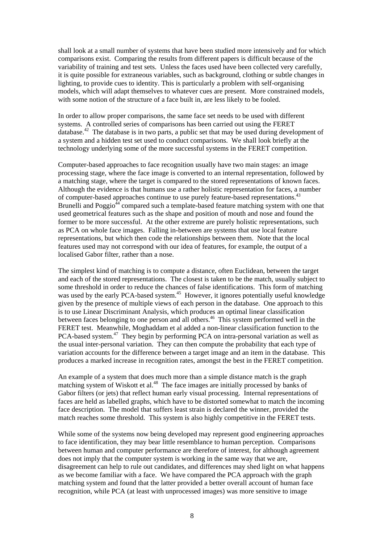shall look at a small number of systems that have been studied more intensively and for which comparisons exist. Comparing the results from different papers is difficult because of the variability of training and test sets. Unless the faces used have been collected very carefully, it is quite possible for extraneous variables, such as background, clothing or subtle changes in lighting, to provide cues to identity. This is particularly a problem with self-organising models, which will adapt themselves to whatever cues are present. More constrained models, with some notion of the structure of a face built in, are less likely to be fooled.

In order to allow proper comparisons, the same face set needs to be used with different systems. A controlled series of comparisons has been carried out using the FERET database.<sup>42</sup> The database is in two parts, a public set that may be used during development of a system and a hidden test set used to conduct comparisons. We shall look briefly at the technology underlying some of the more successful systems in the FERET competition.

Computer-based approaches to face recognition usually have two main stages: an image processing stage, where the face image is converted to an internal representation, followed by a matching stage, where the target is compared to the stored representations of known faces. Although the evidence is that humans use a rather holistic representation for faces, a number of computer-based approaches continue to use purely feature-based representations.43 Brunelli and Poggio<sup>44</sup> compared such a template-based feature matching system with one that used geometrical features such as the shape and position of mouth and nose and found the former to be more successful. At the other extreme are purely holistic representations, such as PCA on whole face images. Falling in-between are systems that use local feature representations, but which then code the relationships between them. Note that the local features used may not correspond with our idea of features, for example, the output of a localised Gabor filter, rather than a nose.

The simplest kind of matching is to compute a distance, often Euclidean, between the target and each of the stored representations. The closest is taken to be the match, usually subject to some threshold in order to reduce the chances of false identifications. This form of matching was used by the early PCA-based system.<sup>45</sup> However, it ignores potentially useful knowledge given by the presence of multiple views of each person in the database. One approach to this is to use Linear Discriminant Analysis, which produces an optimal linear classification between faces belonging to one person and all others.<sup>46</sup> This system performed well in the FERET test. Meanwhile, Moghaddam et al added a non-linear classification function to the PCA-based system.<sup>47</sup> They begin by performing PCA on intra-personal variation as well as the usual inter-personal variation. They can then compute the probability that each type of variation accounts for the difference between a target image and an item in the database. This produces a marked increase in recognition rates, amongst the best in the FERET competition.

An example of a system that does much more than a simple distance match is the graph matching system of Wiskott et al.<sup>48</sup> The face images are initially processed by banks of Gabor filters (or jets) that reflect human early visual processing. Internal representations of faces are held as labelled graphs, which have to be distorted somewhat to match the incoming face description. The model that suffers least strain is declared the winner, provided the match reaches some threshold. This system is also highly competitive in the FERET tests.

While some of the systems now being developed may represent good engineering approaches to face identification, they may bear little resemblance to human perception. Comparisons between human and computer performance are therefore of interest, for although agreement does not imply that the computer system is working in the same way that we are, disagreement can help to rule out candidates, and differences may shed light on what happens as we become familiar with a face. We have compared the PCA approach with the graph matching system and found that the latter provided a better overall account of human face recognition, while PCA (at least with unprocessed images) was more sensitive to image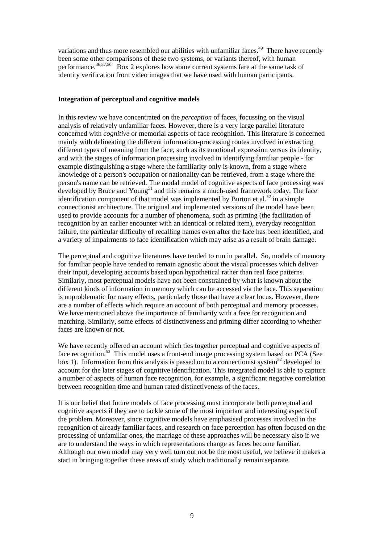variations and thus more resembled our abilities with unfamiliar faces.<sup>49</sup> There have recently been some other comparisons of these two systems, or variants thereof, with human performance.<sup>36,37,50</sup> Box 2 explores how some current systems fare at the same task of identity verification from video images that we have used with human participants.

## **Integration of perceptual and cognitive models**

In this review we have concentrated on the *perception* of faces, focussing on the visual analysis of relatively unfamiliar faces. However, there is a very large parallel literature concerned with *cognitive* or memorial aspects of face recognition. This literature is concerned mainly with delineating the different information-processing routes involved in extracting different types of meaning from the face, such as its emotional expression versus its identity, and with the stages of information processing involved in identifying familiar people - for example distinguishing a stage where the familiarity only is known, from a stage where knowledge of a person's occupation or nationality can be retrieved, from a stage where the person's name can be retrieved. The modal model of cognitive aspects of face processing was developed by Bruce and Young<sup>51</sup> and this remains a much-used framework today. The face identification component of that model was implemented by Burton et al.<sup>52</sup> in a simple connectionist architecture. The original and implemented versions of the model have been used to provide accounts for a number of phenomena, such as priming (the facilitation of recognition by an earlier encounter with an identical or related item), everyday recognition failure, the particular difficulty of recalling names even after the face has been identified, and a variety of impairments to face identification which may arise as a result of brain damage.

The perceptual and cognitive literatures have tended to run in parallel. So, models of memory for familiar people have tended to remain agnostic about the visual processes which deliver their input, developing accounts based upon hypothetical rather than real face patterns. Similarly, most perceptual models have not been constrained by what is known about the different kinds of information in memory which can be accessed via the face. This separation is unproblematic for many effects, particularly those that have a clear locus. However, there are a number of effects which require an account of both perceptual and memory processes. We have mentioned above the importance of familiarity with a face for recognition and matching. Similarly, some effects of distinctiveness and priming differ according to whether faces are known or not.

We have recently offered an account which ties together perceptual and cognitive aspects of face recognition.<sup>53</sup> This model uses a front-end image processing system based on PCA (See box 1). Information from this analysis is passed on to a connectionist system<sup>52</sup> developed to account for the later stages of cognitive identification. This integrated model is able to capture a number of aspects of human face recognition, for example, a significant negative correlation between recognition time and human rated distinctiveness of the faces.

It is our belief that future models of face processing must incorporate both perceptual and cognitive aspects if they are to tackle some of the most important and interesting aspects of the problem. Moreover, since cognitive models have emphasised processes involved in the recognition of already familiar faces, and research on face perception has often focused on the processing of unfamiliar ones, the marriage of these approaches will be necessary also if we are to understand the ways in which representations change as faces become familiar. Although our own model may very well turn out not be the most useful, we believe it makes a start in bringing together these areas of study which traditionally remain separate.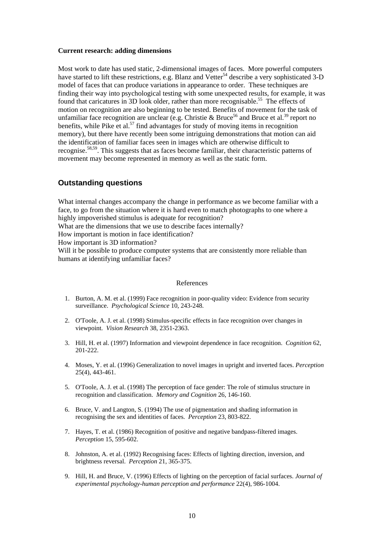#### **Current research: adding dimensions**

Most work to date has used static, 2-dimensional images of faces. More powerful computers have started to lift these restrictions, e.g. Blanz and Vetter<sup>54</sup> describe a very sophisticated 3-D model of faces that can produce variations in appearance to order. These techniques are finding their way into psychological testing with some unexpected results, for example, it was found that caricatures in 3D look older, rather than more recognisable.<sup>55</sup> The effects of motion on recognition are also beginning to be tested. Benefits of movement for the task of unfamiliar face recognition are unclear (e.g. Christie & Bruce<sup>56</sup> and Bruce et al.<sup>39</sup> report no benefits, while Pike et al.<sup>57</sup> find advantages for study of moving items in recognition memory), but there have recently been some intriguing demonstrations that motion can aid the identification of familiar faces seen in images which are otherwise difficult to recognise.58,59. This suggests that as faces become familiar, their characteristic patterns of movement may become represented in memory as well as the static form.

# **Outstanding questions**

What internal changes accompany the change in performance as we become familiar with a face, to go from the situation where it is hard even to match photographs to one where a highly impoverished stimulus is adequate for recognition? What are the dimensions that we use to describe faces internally? How important is motion in face identification? How important is 3D information? Will it be possible to produce computer systems that are consistently more reliable than humans at identifying unfamiliar faces?

#### References

- 1. Burton, A. M. et al. (1999) Face recognition in poor-quality video: Evidence from security surveillance. *Psychological Science* 10, 243-248.
- 2. O'Toole, A. J. et al. (1998) Stimulus-specific effects in face recognition over changes in viewpoint. *Vision Research* 38, 2351-2363.
- 3. Hill, H. et al. (1997) Information and viewpoint dependence in face recognition. *Cognition* 62, 201-222.
- 4. Moses, Y. et al. (1996) Generalization to novel images in upright and inverted faces. *Perception* 25(4), 443-461.
- 5. O'Toole, A. J. et al. (1998) The perception of face gender: The role of stimulus structure in recognition and classification. *Memory and Cognition* 26, 146-160.
- 6. Bruce, V. and Langton, S. (1994) The use of pigmentation and shading information in recognising the sex and identities of faces. *Perception* 23, 803-822.
- 7. Hayes, T. et al. (1986) Recognition of positive and negative bandpass-filtered images. *Perception* 15, 595-602.
- 8. Johnston, A. et al. (1992) Recognising faces: Effects of lighting direction, inversion, and brightness reversal. *Perception* 21, 365-375.
- 9. Hill, H. and Bruce, V. (1996) Effects of lighting on the perception of facial surfaces. *Journal of experimental psychology-human perception and performance* 22(4), 986-1004.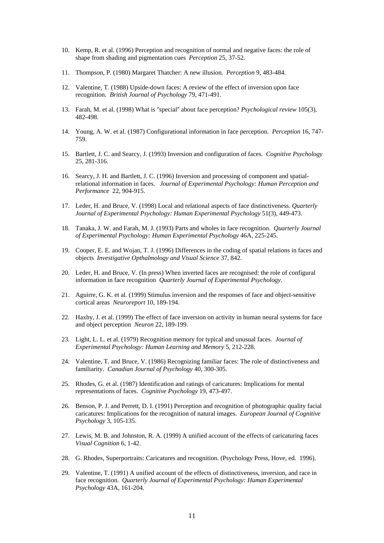- 10. Kemp, R. et al. (1996) Perception and recognition of normal and negative faces: the role of shape from shading and pigmentation cues *Perception* 25, 37-52.
- 11. Thompson, P. (1980) Margaret Thatcher: A new illusion. *Perception* 9, 483-484.
- 12. Valentine, T. (1988) Upside-down faces: A review of the effect of inversion upon face recognition. *British Journal of Psychology* 79, 471-491.
- 13. Farah, M. et al. (1998) What is ''special'' about face perception? *Psychological review* 105(3), 482-498.
- 14. Young, A. W. et al. (1987) Configurational information in face perception. *Perception* 16, 747- 759.
- 15. Bartlett, J. C. and Searcy, J. (1993) Inversion and configuration of faces. *Cognitive Psychology* 25, 281-316.
- 16. Searcy, J. H. and Bartlett, J. C. (1996) Inversion and processing of component and spatialrelational information in faces. *Journal of Experimental Psychology: Human Perception and Performance* 22, 904-915.
- 17. Leder, H. and Bruce, V. (1998) Local and relational aspects of face distinctiveness. *Quarterly Journal of Experimental Psychology: Human Experimental Psychology* 51(3), 449-473.
- 18. Tanaka, J. W. and Farah, M. J. (1993) Parts and wholes in face recognition. *Quarterly Journal of Experimental Psychology: Human Experimental Psychology* 46A, 225-245.
- 19. Cooper, E. E. and Wojan, T. J. (1996) Differences in the coding of spatial relations in faces and objects *Investigative Opthalmology and Visual Science* 37, 842.
- 20. Leder, H. and Bruce, V. (In press) When inverted faces are recognised: the role of configural information in face recognition *Quarterly Journal of Experimental Psychology*.
- 21. Aguirre, G. K. et al. (1999) Stimulus inversion and the responses of face and object-sensitive cortical areas *Neuroreport* 10, 189-194.
- 22. Haxby, J. et al. (1999) The effect of face inversion on activity in human neural systems for face and object perception *Neuron* 22, 189-199.
- 23. Light, L. L. et al. (1979) Recognition memory for typical and unusual faces. *Journal of Experimental Psychology: Human Learning and Memory* 5, 212-228.
- 24. Valentine, T. and Bruce, V. (1986) Recognizing familiar faces: The role of distinctiveness and familiarity. *Canadian Journal of Psychology* 40, 300-305.
- 25. Rhodes, G. et al. (1987) Identification and ratings of caricatures: Implications for mental representations of faces. *Cognitive Psychology* 19, 473-497.
- 26. Benson, P. J. and Perrett, D. I. (1991) Perception and recognition of photographic quality facial caricatures: Implications for the recognition of natural images. *European Journal of Cognitive Psychology* 3, 105-135.
- 27. Lewis, M. B. and Johnston, R. A. (1999) A unified account of the effects of caricaturing faces *Visual Cognition* 6, 1-42.
- 28. G. Rhodes, Superportraits: Caricatures and recognition. (Psychology Press, Hove, ed. 1996).
- 29. Valentine, T. (1991) A unified account of the effects of distinctiveness, inversion, and race in face recognition. *Quarterly Journal of Experimental Psychology: Human Experimental Psychology* 43A, 161-204.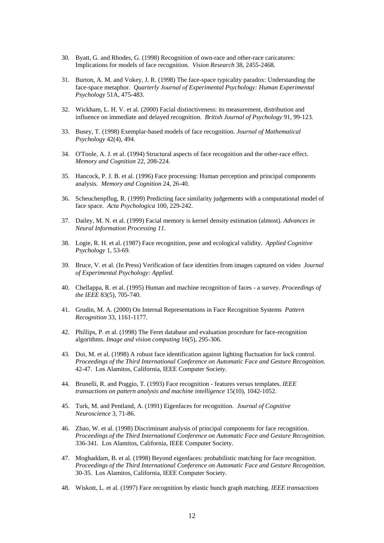- 30. Byatt, G. and Rhodes, G. (1998) Recognition of own-race and other-race caricatures: Implications for models of face recognition. *Vision Research* 38, 2455-2468.
- 31. Burton, A. M. and Vokey, J. R. (1998) The face-space typicality paradox: Understanding the face-space metaphor. *Quarterly Journal of Experimental Psychology: Human Experimental Psychology* 51A, 475-483.
- 32. Wickham, L. H. V. et al. (2000) Facial distinctiveness: its measurement, distribution and influence on immediate and delayed recognition. *British Journal of Psychology* 91, 99-123.
- 33. Busey, T. (1998) Exemplar-based models of face recognition. *Journal of Mathematical Psychology* 42(4), 494.
- 34. O'Toole, A. J. et al. (1994) Structural aspects of face recognition and the other-race effect. *Memory and Cognition* 22, 208-224.
- 35. Hancock, P. J. B. et al. (1996) Face processing: Human perception and principal components analysis. *Memory and Cognition* 24, 26-40.
- 36. Scheuchenpflug, R. (1999) Predicting face similarity judgements with a computational model of face space. *Acta Psychologica* 100, 229-242.
- 37. Dailey, M. N. et al. (1999) Facial memory is kernel density estimation (almost). *Advances in Neural Information Processing 11*.
- 38. Logie, R. H. et al. (1987) Face recognition, pose and ecological validity. *Applied Cognitive Psychology* 1, 53-69.
- 39. Bruce, V. et al. (In Press) Verification of face identities from images captured on video *Journal of Experimental Psychology: Applied*.
- 40. Chellappa, R. et al. (1995) Human and machine recognition of faces a survey. *Proceedings of the IEEE* 83(5), 705-740.
- 41. Grudin, M. A. (2000) On Internal Representations in Face Recognition Systems *Pattern Recognition* 33, 1161-1177.
- 42. Phillips, P. et al. (1998) The Feret database and evaluation procedure for face-recognition algorithms. *Image and vision computing* 16(5), 295-306.
- 43. Doi, M. et al. (1998) A robust face identification against lighting fluctuation for lock control. *Proceedings of the Third International Conference on Automatic Face and Gesture Recognition*. 42-47. Los Alamitos, California, IEEE Computer Society.
- 44. Brunelli, R. and Poggio, T. (1993) Face recognition features versus templates. *IEEE transactions on pattern analysis and machine intelligence* 15(10), 1042-1052.
- 45. Turk, M. and Pentland, A. (1991) Eigenfaces for recognition. *Journal of Cognitive Neuroscience* 3, 71-86.
- 46. Zhao, W. et al. (1998) Discriminant analysis of principal components for face recognition. *Proceedings of the Third International Conference on Automatic Face and Gesture Recognition*. 336-341. Los Alamitos, California, IEEE Computer Society.
- 47. Moghaddam, B. et al. (1998) Beyond eigenfaces: probabilistic matching for face recognition. *Proceedings of the Third International Conference on Automatic Face and Gesture Recognition*. 30-35. Los Alamitos, California, IEEE Computer Society.
- 48. Wiskott, L. et al. (1997) Face recognition by elastic bunch graph matching. *IEEE transactions*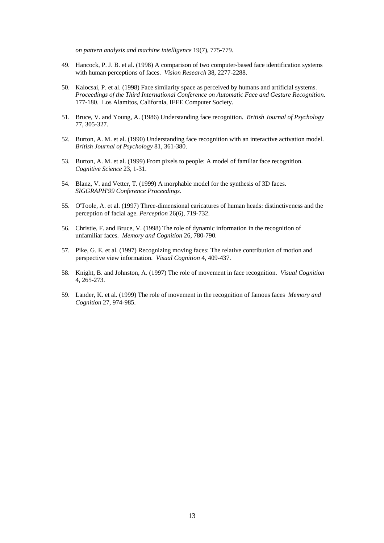*on pattern analysis and machine intelligence* 19(7), 775-779.

- 49. Hancock, P. J. B. et al. (1998) A comparison of two computer-based face identification systems with human perceptions of faces. *Vision Research* 38, 2277-2288.
- 50. Kalocsai, P. et al. (1998) Face similarity space as perceived by humans and artificial systems. *Proceedings of the Third International Conference on Automatic Face and Gesture Recognition*. 177-180. Los Alamitos, California, IEEE Computer Society.
- 51. Bruce, V. and Young, A. (1986) Understanding face recognition. *British Journal of Psychology* 77, 305-327.
- 52. Burton, A. M. et al. (1990) Understanding face recognition with an interactive activation model. *British Journal of Psychology* 81, 361-380.
- 53. Burton, A. M. et al. (1999) From pixels to people: A model of familiar face recognition. *Cognitive Science* 23, 1-31.
- 54. Blanz, V. and Vetter, T. (1999) A morphable model for the synthesis of 3D faces. *SIGGRAPH'99 Conference Proceedings*.
- 55. O'Toole, A. et al. (1997) Three-dimensional caricatures of human heads: distinctiveness and the perception of facial age. *Perception* 26(6), 719-732.
- 56. Christie, F. and Bruce, V. (1998) The role of dynamic information in the recognition of unfamiliar faces. *Memory and Cognition* 26, 780-790.
- 57. Pike, G. E. et al. (1997) Recognizing moving faces: The relative contribution of motion and perspective view information. *Visual Cognition* 4, 409-437.
- 58. Knight, B. and Johnston, A. (1997) The role of movement in face recognition. *Visual Cognition* 4, 265-273.
- 59. Lander, K. et al. (1999) The role of movement in the recognition of famous faces *Memory and Cognition* 27, 974-985.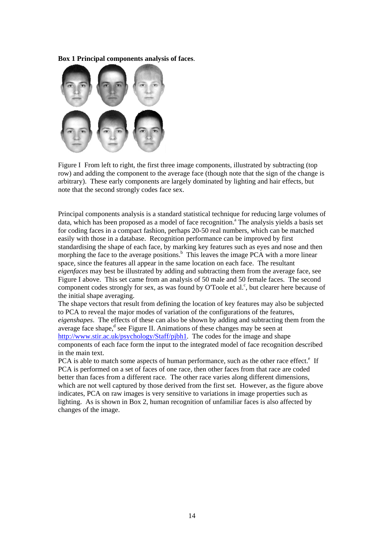**Box 1 Principal components analysis of faces**.



Figure I From left to right, the first three image components, illustrated by subtracting (top row) and adding the component to the average face (though note that the sign of the change is arbitrary). These early components are largely dominated by lighting and hair effects, but note that the second strongly codes face sex.

Principal components analysis is a standard statistical technique for reducing large volumes of data, which has been proposed as a model of face recognition.<sup>a</sup> The analysis yields a basis set for coding faces in a compact fashion, perhaps 20-50 real numbers, which can be matched easily with those in a database. Recognition performance can be improved by first standardising the shape of each face, by marking key features such as eyes and nose and then morphing the face to the average positions.<sup>b</sup> This leaves the image PCA with a more linear space, since the features all appear in the same location on each face. The resultant *eigenfaces* may best be illustrated by adding and subtracting them from the average face, see Figure I above. This set came from an analysis of 50 male and 50 female faces. The second component codes strongly for sex, as was found by O'Toole et al.<sup>c</sup>, but clearer here because of the initial shape averaging.

The shape vectors that result from defining the location of key features may also be subjected to PCA to reveal the major modes of variation of the configurations of the features, *eigenshapes*. The effects of these can also be shown by adding and subtracting them from the average face shape, $d$  see Figure II. Animations of these changes may be seen at [http://www.stir.ac.uk/psychology/Staff/pjbh1.](http://www.stir.ac.uk/psychology/Staff/pjbh1) The codes for the image and shape components of each face form the input to the integrated model of face recognition described in the main text.

PCA is able to match some aspects of human performance, such as the other race effect.<sup>e</sup> If PCA is performed on a set of faces of one race, then other faces from that race are coded better than faces from a different race. The other race varies along different dimensions, which are not well captured by those derived from the first set. However, as the figure above indicates, PCA on raw images is very sensitive to variations in image properties such as lighting. As is shown in Box 2, human recognition of unfamiliar faces is also affected by changes of the image.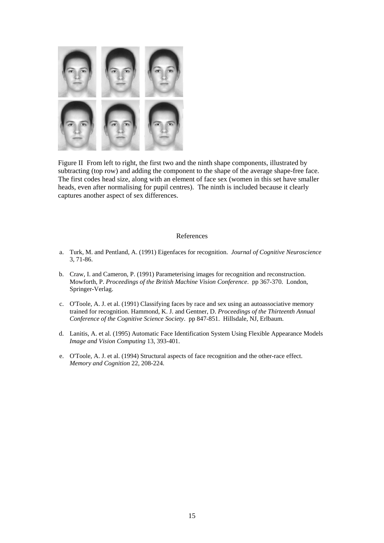

Figure II From left to right, the first two and the ninth shape components, illustrated by subtracting (top row) and adding the component to the shape of the average shape-free face. The first codes head size, along with an element of face sex (women in this set have smaller heads, even after normalising for pupil centres). The ninth is included because it clearly captures another aspect of sex differences.

#### References

- a. Turk, M. and Pentland, A. (1991) Eigenfaces for recognition. *Journal of Cognitive Neuroscience* 3, 71-86.
- b. Craw, I. and Cameron, P. (1991) Parameterising images for recognition and reconstruction. Mowforth, P. *Proceedings of the British Machine Vision Conference*. pp 367-370. London, Springer-Verlag.
- c. O'Toole, A. J. et al. (1991) Classifying faces by race and sex using an autoassociative memory trained for recognition. Hammond, K. J. and Gentner, D. *Proceedings of the Thirteenth Annual Conference of the Cognitive Science Society*. pp 847-851. Hillsdale, NJ, Erlbaum.
- d. Lanitis, A. et al. (1995) Automatic Face Identification System Using Flexible Appearance Models *Image and Vision Computing* 13, 393-401.
- e. O'Toole, A. J. et al. (1994) Structural aspects of face recognition and the other-race effect. *Memory and Cognition* 22, 208-224.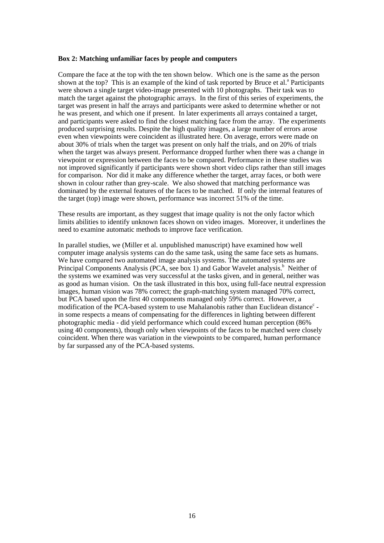#### **Box 2: Matching unfamiliar faces by people and computers**

Compare the face at the top with the ten shown below. Which one is the same as the person shown at the top? This is an example of the kind of task reported by Bruce et al.<sup>a</sup> Participants were shown a single target video-image presented with 10 photographs. Their task was to match the target against the photographic arrays. In the first of this series of experiments, the target was present in half the arrays and participants were asked to determine whether or not he was present, and which one if present. In later experiments all arrays contained a target, and participants were asked to find the closest matching face from the array. The experiments produced surprising results. Despite the high quality images, a large number of errors arose even when viewpoints were coincident as illustrated here. On average, errors were made on about 30% of trials when the target was present on only half the trials, and on 20% of trials when the target was always present. Performance dropped further when there was a change in viewpoint or expression between the faces to be compared. Performance in these studies was not improved significantly if participants were shown short video clips rather than still images for comparison. Nor did it make any difference whether the target, array faces, or both were shown in colour rather than grey-scale. We also showed that matching performance was dominated by the external features of the faces to be matched. If only the internal features of the target (top) image were shown, performance was incorrect 51% of the time.

These results are important, as they suggest that image quality is not the only factor which limits abilities to identify unknown faces shown on video images. Moreover, it underlines the need to examine automatic methods to improve face verification.

In parallel studies, we (Miller et al. unpublished manuscript) have examined how well computer image analysis systems can do the same task, using the same face sets as humans. We have compared two automated image analysis systems. The automated systems are Principal Components Analysis (PCA, see box 1) and Gabor Wavelet analysis.<sup>b</sup> Neither of the systems we examined was very successful at the tasks given, and in general, neither was as good as human vision. On the task illustrated in this box, using full-face neutral expression images, human vision was 78% correct; the graph-matching system managed 70% correct, but PCA based upon the first 40 components managed only 59% correct. However, a modification of the PCA-based system to use Mahalanobis rather than Euclidean distance<sup>c</sup> in some respects a means of compensating for the differences in lighting between different photographic media - did yield performance which could exceed human perception (86% using 40 components), though only when viewpoints of the faces to be matched were closely coincident. When there was variation in the viewpoints to be compared, human performance by far surpassed any of the PCA-based systems.